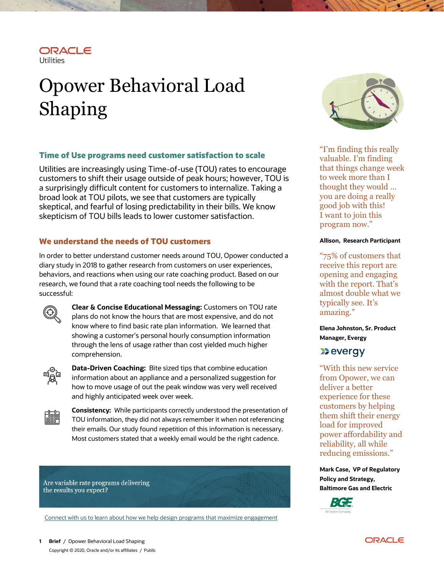

# Opower Behavioral Load Shaping

## **Time of Use programs need customer satisfaction to scale**

Utilities are increasingly using Time-of-use (TOU) rates to encourage customers to shift their usage outside of peak hours; however, TOU is a surprisingly difficult content for customers to internalize. Taking a broad look at TOU pilots, we see that customers are typically skeptical, and fearful of losing predictability in their bills. We know skepticism of TOU bills leads to lower customer satisfaction.

# **We understand the needs of TOU customers**

In order to better understand customer needs around TOU, Opower conducted a diary study in 2018 to gather research from customers on user experiences, behaviors, and reactions when using our rate coaching product. Based on our research, we found that a rate coaching tool needs the following to be successful:



**Clear & Concise Educational Messaging:** Customers on TOU rate plans do not know the hours that are most expensive, and do not know where to find basic rate plan information. We learned that showing a customer's personal hourly consumption information through the lens of usage rather than cost yielded much higher comprehension.



**Data-Driven Coaching:** Bite sized tips that combine education information about an appliance and a personalized suggestion for how to move usage of out the peak window was very well received and highly anticipated week over week.



**Consistency:** While participants correctly understood the presentation of TOU information, they did not always remember it when not referencing their emails. Our study found repetition of this information is necessary. Most customers stated that a weekly email would be the right cadence.

Are variable rate programs delivering the results you expect?

Connect with us to learn about how we help design [programs that maximize engagement](https://go.oracle.com/LP=100229?elqCampaignId=248672)



"I'm finding this really valuable. I'm finding that things change week to week more than I thought they would … you are doing a really good job with this! I want to join this program now."

### **Allison, Research Participant**

"75% of customers that receive this report are opening and engaging with the report. That's almost double what we typically see. It's amazing."

**Elena Johnston, Sr. Product Manager, Evergy**

# **Devergy**

"With this new service from Opower, we can deliver a better experience for these customers by helping them shift their energy load for improved power affordability and reliability, all while reducing emissions."

**Mark Case, VP of Regulatory [Policy](https://go.oracle.com/LP=100229?elqCampaignId=248672) and Strategy, Baltimore Gas and Electric**